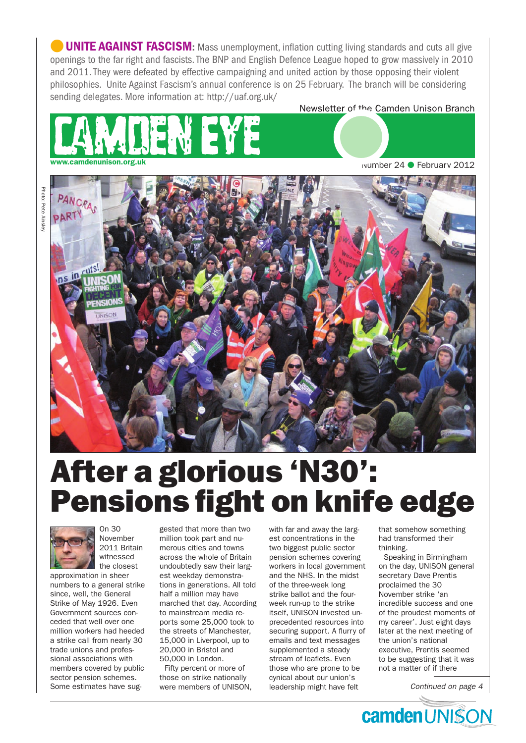**UNITE AGAINST FASCISM:** Mass unemployment, inflation cutting living standards and cuts all give openings to the far right and fascists. The BNP and English Defence League hoped to grow massively in 2010 and 2011. They were defeated by effective campaigning and united action by those opposing their violent philosophies. Unite Against Fascism's annual conference is on 25 February. The branch will be considering sending delegates. More information at: http://uaf.org.uk/

Newsletter of the Camden Unison Branch



wumber 24 ● February 2012



# After a glorious 'N30': Pensions fight on knife edge



On 30 November 2011 Britain witnessed the closest

approximation in sheer numbers to a general strike since, well, the General Strike of May 1926. Even Government sources conceded that well over one million workers had heeded a strike call from nearly 30 trade unions and professional associations with members covered by public sector pension schemes. Some estimates have sug-

gested that more than two million took part and numerous cities and towns across the whole of Britain undoubtedly saw their largest weekday demonstrations in generations. All told half a million may have marched that day. According to mainstream media reports some 25,000 took to the streets of Manchester, 15,000 in Liverpool, up to 20,000 in Bristol and 50,000 in London.

Fifty percent or more of those on strike nationally were members of UNISON, with far and away the largest concentrations in the two biggest public sector pension schemes covering workers in local government and the NHS. In the midst of the three-week long strike ballot and the fourweek run-up to the strike itself, UNISON invested unprecedented resources into securing support. A flurry of emails and text messages supplemented a steady stream of leaflets. Even those who are prone to be cynical about our union's leadership might have felt

that somehow something had transformed their thinking.

Speaking in Birmingham on the day, UNISON general secretary Dave Prentis proclaimed the 30 November strike 'an incredible success and one of the proudest moments of my career'. Just eight days later at the next meeting of the union's national executive, Prentis seemed to be suggesting that it was not a matter of if there

*Continued on page 4*

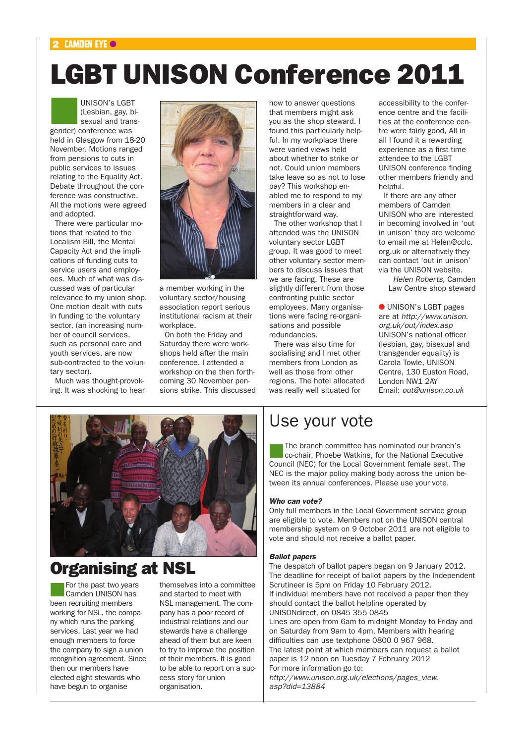#### $2$  CAMDEN EYE  $\odot$

## LGBT UNISON Conference 2011

UNISON's LGBT<br>(Lesbian, gay, bi-<br>sexual and trans (Lesbian, gay, bisexual and transgender) conference was held in Glasgow from 18-20 November. Motions ranged from pensions to cuts in public services to issues relating to the Equality Act. Debate throughout the conference was constructive. All the motions were agreed and adopted.

There were particular motions that related to the Localism Bill, the Mental Capacity Act and the implications of funding cuts to service users and employees. Much of what was discussed was of particular relevance to my union shop. One motion dealt with cuts in funding to the voluntary sector, (an increasing number of council services, such as personal care and youth services, are now sub-contracted to the voluntary sector).

Much was thought-provoking. It was shocking to hear



a member working in the voluntary sector/housing association report serious institutional racism at their workplace

On both the Friday and Saturday there were workshops held after the main conference. I attended a workshop on the then forthcoming 30 November pensions strike. This discussed how to answer questions that members might ask you as the shop steward. I found this particularly helpful. In my workplace there were varied views held about whether to strike or not. Could union members take leave so as not to lose pay? This workshop enabled me to respond to my members in a clear and straightforward way.

The other workshop that I attended was the UNISON voluntary sector LGBT group. It was good to meet other voluntary sector members to discuss issues that we are facing. These are slightly different from those confronting public sector employees. Many organisations were facing re-organisations and possible redundancies.

There was also time for socialising and I met other members from London as well as those from other regions. The hotel allocated was really well situated for

accessibility to the conference centre and the facilities at the conference centre were fairly good, All in all I found it a rewarding experience as a first time attendee to the LGBT UNISON conference finding other members friendly and helpful.

If there are any other members of Camden UNISON who are interested in becoming involved in 'out in unison' they are welcome to email me at Helen@cclc. org.uk or alternatively they can contact 'out in unison' via the UNISON website.

*Helen Roberts,* Camden Law Centre shop steward

● UNISON's LGBT pages are at *http://www.unison. org.uk/out/index.asp* UNISON's national officer (lesbian, gay, bisexual and transgender equality) is Carola Towle, UNISON Centre, 130 Euston Road, London NW1 2AY Email: *out@unison.co.uk*



### Organising at NSL

For the past two years Camden UNISON has been recruiting members working for NSL, the company which runs the parking services. Last year we had enough members to force the company to sign a union recognition agreement. Since then our members have elected eight stewards who have begun to organise

themselves into a committee and started to meet with NSL management. The company has a poor record of industrial relations and our stewards have a challenge ahead of them but are keen to try to improve the position of their members. It is good to be able to report on a success story for union organisation.

### Use your vote

The branch committee has nominated our branch's co-chair, Phoebe Watkins, for the National Executive Council (NEC) for the Local Government female seat. The NEC is the major policy making body across the union between its annual conferences. Please use your vote.

#### *Who can vote?*

Only full members in the Local Government service group are eligible to vote. Members not on the UNISON central membership system on 9 October 2011 are not eligible to vote and should not receive a ballot paper.

#### *Ballot papers*

The despatch of ballot papers began on 9 January 2012. The deadline for receipt of ballot papers by the Independent Scrutineer is 5pm on Friday 10 February 2012. If individual members have not received a paper then they should contact the ballot helpline operated by UNISONdirect, on 0845 355 0845 Lines are open from 6am to midnight Monday to Friday and on Saturday from 9am to 4pm. Members with hearing difficulties can use textphone 0800 0 967 968. The latest point at which members can request a ballot paper is 12 noon on Tuesday 7 February 2012 For more information go to: *http://www.unison.org.uk/elections/pages\_view. asp?did=13884*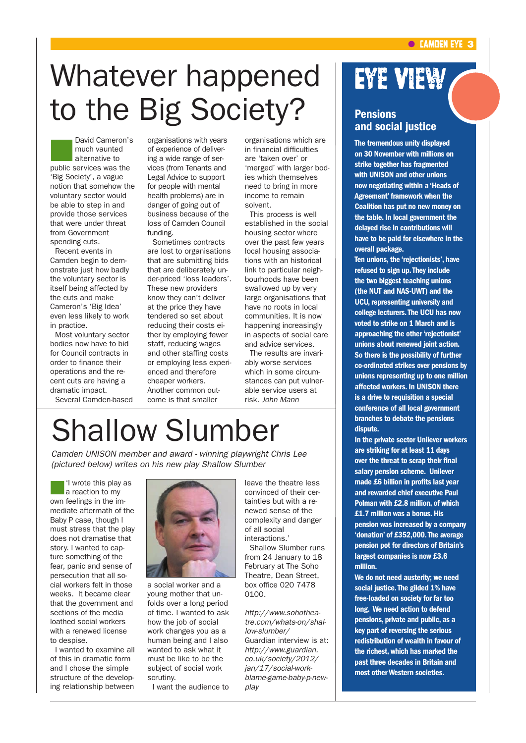# Whatever happened to the Big Society?

David Cameron's much vaunted alternative to public services was the 'Big Society', a vague notion that somehow the voluntary sector would be able to step in and provide those services that were under threat from Government spending cuts.

Recent events in Camden begin to demonstrate just how badly the voluntary sector is itself being affected by the cuts and make Cameron's 'Big Idea' even less likely to work in practice.

Most voluntary sector bodies now have to bid for Council contracts in order to finance their operations and the recent cuts are having a dramatic impact.

Several Camden-based

organisations with years of experience of delivering a wide range of services (from Tenants and Legal Advice to support for people with mental health problems) are in danger of going out of business because of the loss of Camden Council funding.

Sometimes contracts are lost to organisations that are submitting bids that are deliberately under-priced 'loss leaders'. These new providers know they can't deliver at the price they have tendered so set about reducing their costs either by employing fewer staff, reducing wages and other staffing costs or employing less experienced and therefore cheaper workers. Another common outcome is that smaller

organisations which are in financial difficulties are 'taken over' or 'merged' with larger bodies which themselves need to bring in more income to remain solvent.

This process is well established in the social housing sector where over the past few years local housing associations with an historical link to particular neighbourhoods have been swallowed up by very large organisations that have no roots in local communities. It is now happening increasingly in aspects of social care and advice services.

The results are invariably worse services which in some circumstances can put vulnerable service users at risk. *John Mann*

## Shallow Slumber

*Camden UNISON member and award - winning playwright Chris Lee (pictured below) writes on his new play Shallow Slumber*

'I wrote this play as a reaction to my own feelings in the immediate aftermath of the Baby P case, though I must stress that the play does not dramatise that story. I wanted to capture something of the fear, panic and sense of persecution that all social workers felt in those weeks. It became clear that the government and sections of the media loathed social workers with a renewed license to despise.

I wanted to examine all of this in dramatic form and I chose the simple structure of the developing relationship between



a social worker and a young mother that unfolds over a long period of time. I wanted to ask how the job of social work changes you as a human being and I also wanted to ask what it must be like to be the subject of social work scrutiny.

I want the audience to

leave the theatre less convinced of their certainties but with a renewed sense of the complexity and danger of all social interactions.'

Shallow Slumber runs from 24 January to 18 February at The Soho Theatre, Dean Street, box office 020 7478 0100.

*http://www.sohotheatre.com/whats-on/shallow-slumber/*  Guardian interview is at: *http://www.guardian. co.uk/society/2012/ jan/17/social-workblame-game-baby-p-newplay*

## Eye View

#### Pensions and social justice

The tremendous unity displayed on 30 November with millions on strike together has fragmented with UNISON and other unions now negotiating within a 'Heads of Agreement' framework when the Coalition has put no new money on the table. In local government the delayed rise in contributions will have to be paid for elsewhere in the overall package.

Ten unions, the 'rejectionists', have refused to sign up. They include the two biggest teaching unions (the NUT and NAS-UWT) and the UCU, representing university and college lecturers. The UCU has now voted to strike on 1 March and is approaching the other 'rejectionist' unions about renewed joint action. So there is the possibility of further co-ordinated strikes over pensions by unions representing up to one million affected workers. In UNISON there is a drive to requisition a special conference of all local government branches to debate the pensions dispute.

In the private sector Unilever workers are striking for at least 11 days over the threat to scrap their final salary pension scheme. Unilever made £6 billion in profits last year and rewarded chief executive Paul Polman with £2.8 million, of which £1.7 million was a bonus. His pension was increased by a company 'donation' of £352,000. The average pension pot for directors of Britain's largest companies is now £3.6 million.

We do not need austerity; we need social justice. The gilded 1% have free-loaded on society for far too long. We need action to defend pensions, private and public, as a key part of reversing the serious redistribution of wealth in favour of the richest, which has marked the past three decades in Britain and most other Western societies.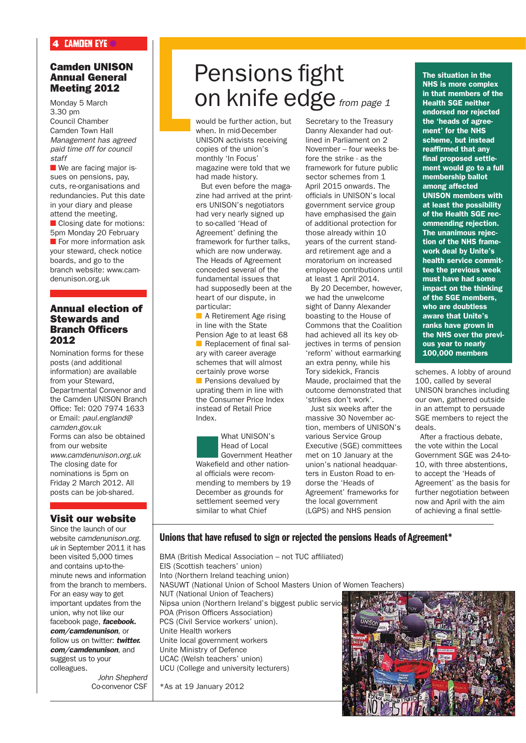#### 4 CAMDEN EYE  $\bullet$

#### Camden UNISON Annual General Meeting 2012

Monday 5 March 3.30 pm Council Chamber Camden Town Hall *Management has agreed paid time off for council staff*

 $\blacksquare$  We are facing major issues on pensions, pay, cuts, re-organisations and redundancies. Put this date in your diary and please attend the meeting. ■ Closing date for motions: 5pm Monday 20 February  $\blacksquare$  For more information ask your steward, check notice boards, and go to the

branch website: www.camdenunison.org.uk

#### Annual election of Stewards and Branch Officers 2012

Nomination forms for these posts (and additional information) are available from your Steward, Departmental Convenor and the Camden UNISON Branch Office: Tel: 020 7974 1633 or Email: *paul.england@ camden.gov.uk* Forms can also be obtained from our website *www.camdenunison.org.uk* The closing date for nominations is 5pm on Friday 2 March 2012. All posts can be job-shared.

#### Visit our website

Since the launch of our website *camdenunison.org. uk* in September 2011 it has been visited 5,000 times and contains up-to-theminute news and information from the branch to members. For an easy way to get important updates from the union, why not like our facebook page, *facebook. com/camdenunison*, or follow us on twitter: *twitter. com/camdenunison*, and suggest us to your colleagues.

*John Shepherd*  Co-convenor CSF

## Pensions fight on knife edge *from page 1*

would be further action, but when. In mid-December UNISON activists receiving copies of the union's monthly 'In Focus' magazine were told that we had made history. But even before the maga-

zine had arrived at the printers UNISON's negotiators had very nearly signed up to so-called 'Head of Agreement' defining the framework for further talks, which are now underway. The Heads of Agreement conceded several of the fundamental issues that had supposedly been at the heart of our dispute, in particular:

 $\blacksquare$  A Retirement Age rising in line with the State Pension Age to at least 68  $\blacksquare$  Replacement of final salary with career average schemes that will almost certainly prove worse  $\blacksquare$  Pensions devalued by uprating them in line with the Consumer Price Index instead of Retail Price Index.

What UNISON's<br>
Head of Local<br>
Government Heather Head of Local Wakefield and other national officials were recommending to members by 19 December as grounds for settlement seemed very similar to what Chief

Secretary to the Treasury Danny Alexander had outlined in Parliament on 2 November – four weeks before the strike - as the framework for future public sector schemes from 1 April 2015 onwards. The officials in UNISON's local government service group have emphasised the gain of additional protection for those already within 10 years of the current standard retirement age and a moratorium on increased employee contributions until at least 1 April 2014.

By 20 December, however, we had the unwelcome sight of Danny Alexander boasting to the House of Commons that the Coalition had achieved all its key objectives in terms of pension 'reform' without earmarking an extra penny, while his Tory sidekick, Francis Maude, proclaimed that the outcome demonstrated that 'strikes don't work'.

Just six weeks after the massive 30 November action, members of UNISON's various Service Group Executive (SGE) committees met on 10 January at the union's national headquarters in Euston Road to endorse the 'Heads of Agreement' frameworks for the local government (LGPS) and NHS pension

The situation in the NHS is more complex in that members of the Health SGE neither endorsed nor rejected the 'heads of agreement' for the NHS scheme, but instead reaffirmed that any final proposed settlement would go to a full membership ballot among affected UNISON members with at least the possibility of the Health SGE recommending rejection. The unanimous rejection of the NHS framework deal by Unite's health service committee the previous week must have had some impact on the thinking of the SGE members, who are doubtless aware that Unite's ranks have grown in the NHS over the previous year to nearly 100,000 members

schemes. A lobby of around 100, called by several UNISON branches including our own, gathered outside in an attempt to persuade SGE members to reject the deals.

After a fractious debate, the vote within the Local Government SGE was 24-to-10, with three abstentions, to accept the 'Heads of Agreement' as the basis for further negotiation between now and April with the aim of achieving a final settle-

#### Unions that have refused to sign or rejected the pensions Heads of Agreement\*

BMA (British Medical Association – not TUC affiliated) EIS (Scottish teachers' union) Into (Northern Ireland teaching union) NASUWT (National Union of School Masters Union of Women Teachers) NUT (National Union of Teachers) Nipsa union (Northern Ireland's biggest public service) POA (Prison Officers Association) PCS (Civil Service workers' union). Unite Health workers Unite local government workers Unite Ministry of Defence UCAC (Welsh teachers' union) UCU (College and university lecturers)

\*As at 19 January 2012

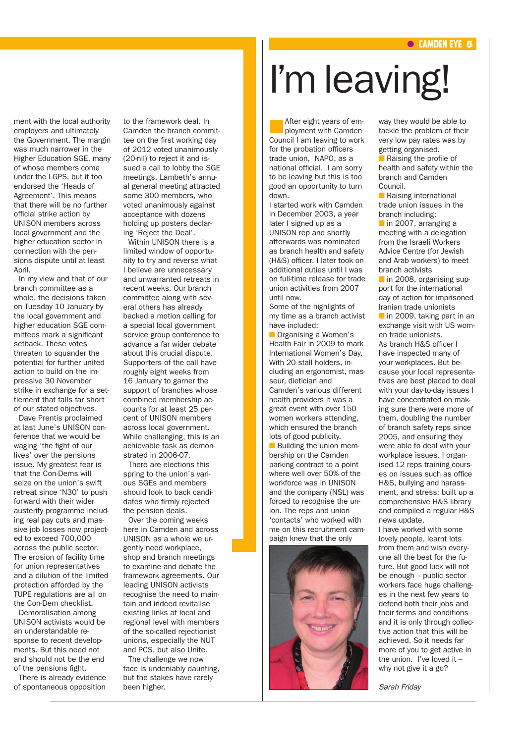ment with the local authority employers and ultimately the Government. The margin was much narrower in the Higher Education SGE, many of whose members come under the LGPS, but it too endorsed the 'Heads of Agreement'. This means that there will be no further official strike action by UNISON members across local government and the higher education sector in connection with the pensions dispute until at least April.

In my view and that of our branch committee as a whole, the decisions taken on Tuesday 10 January by the local government and higher education SGE committees mark a significant setback. These votes threaten to squander the potential for further united action to build on the impressive 30 November strike in exchange for a settlement that falls far short of our stated objectives.

Dave Prentis proclaimed at last June's UNISON conference that we would be waging 'the fight of our lives' over the pensions issue. My greatest fear is that the Con-Dems will seize on the union's swift retreat since 'N30' to push forward with their wider austerity programme including real pay cuts and massive job losses now projected to exceed 700,000 across the public sector. The erosion of facility time for union representatives and a dilution of the limited protection afforded by the TUPE regulations are all on the Con-Dem checklist.

Demoralisation among UNISON activists would be an understandable response to recent developments. But this need not and should not be the end of the pensions fight.

There is already evidence of spontaneous opposition to the framework deal. In Camden the branch committee on the first working day of 2012 voted unanimously (20-nil) to reject it and issued a call to lobby the SGE meetings. Lambeth's annual general meeting attracted some 300 members, who voted unanimously against acceptance with dozens holding up posters declaring 'Reject the Deal'.

Within UNISON there is a limited window of opportunity to try and reverse what I believe are unnecessary and unwarranted retreats in recent weeks. Our branch committee along with several others has already backed a motion calling for a special local government service group conference to advance a far wider debate about this crucial dispute. Supporters of the call have roughly eight weeks from 16 January to garner the support of branches whose combined membership accounts for at least 25 percent of UNISON members across local government. While challenging, this is an achievable task as demonstrated in 2006-07.

There are elections this spring to the union's various SGEs and members should look to back candidates who firmly rejected the pension deals.

Over the coming weeks here in Camden and across UNISON as a whole we urgently need workplace, shop and branch meetings to examine and debate the framework agreements. Our leading UNISON activists recognise the need to maintain and indeed revitalise existing links at local and regional level with members of the so-called rejectionist unions, especially the NUT and PCS, but also Unite.

The challenge we now face is undeniably daunting, but the stakes have rarely been higher.

# I'm leaving!

After eight years of employment with Camden Council I am leaving to work for the probation officers trade union, NAPO, as a national official. I am sorry to be leaving but this is too good an opportunity to turn down.

I started work with Camden in December 2003, a year later I signed up as a UNISON rep and shortly afterwards was nominated as branch health and safety (H&S) officer. I later took on additional duties until I was on full-time release for trade union activities from 2007 until now.

Some of the highlights of my time as a branch activist have included:

**n** Organising a Women's Health Fair in 2009 to mark International Women's Day. With 20 stall holders, including an ergonomist, masseur, dietician and Camden's various different health providers it was a great event with over 150 women workers attending, which ensured the branch lots of good publicity.  $\blacksquare$  Building the union membership on the Camden parking contract to a point where well over 50% of the workforce was in UNISON and the company (NSL) was forced to recognise the union. The reps and union 'contacts' who worked with me on this recruitment cam-



way they would be able to tackle the problem of their very low pay rates was by getting organised.

 $\blacksquare$  Raising the profile of health and safety within the branch and Camden Council.

**n** Raising international trade union issues in the branch including:

 $\blacksquare$  in 2007, arranging a meeting with a delegation from the Israeli Workers Advice Centre (for Jewish and Arab workers) to meet branch activists

 $\blacksquare$  in 2008, organising support for the international day of action for imprisoned Iranian trade unionists

 $\blacksquare$  in 2009, taking part in an exchange visit with US women trade unionists.

As branch H&S officer I have inspected many of your workplaces. But because your local representatives are best placed to deal with your day-to-day issues I have concentrated on making sure there were more of them, doubling the number of branch safety reps since 2005, and ensuring they were able to deal with your workplace issues. I organised 12 reps training courses on issues such as office H&S, bullying and harassment, and stress; built up a comprehensive H&S library and compiled a regular H&S news update.

I have worked with some lovely people, learnt lots from them and wish everyone all the best for the future. But good luck will not be enough - public sector workers face huge challenges in the next few years to defend both their jobs and their terms and conditions and it is only through collective action that this will be achieved. So it needs far more of you to get active in the union. I've loved it – why not give it a go?

*Sarah Friday*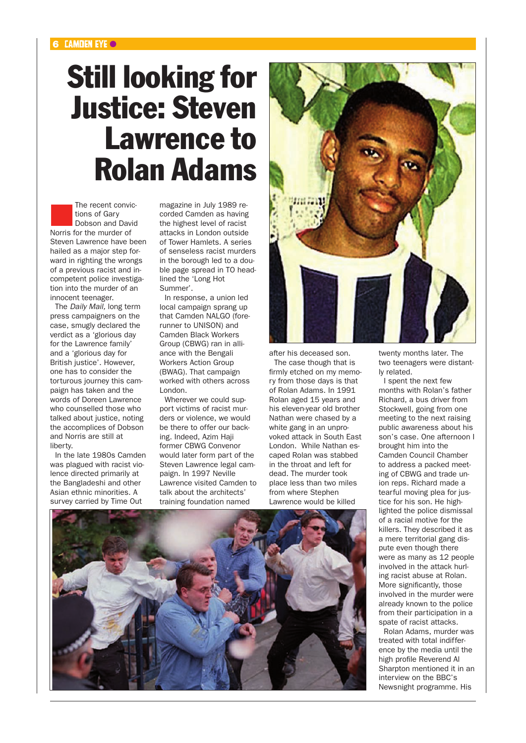## Still looking for Justice: Steven Lawrence to Rolan Adams

The recent convictions of Gary<br>Dobson and David tions of Gary Norris for the murder of Steven Lawrence have been hailed as a major step forward in righting the wrongs of a previous racist and incompetent police investigation into the murder of an innocent teenager.

The *Daily Mail,* long term press campaigners on the case, smugly declared the verdict as a 'glorious day for the Lawrence family' and a 'glorious day for British justice'. However, one has to consider the torturous journey this campaign has taken and the words of Doreen Lawrence who counselled those who talked about justice, noting the accomplices of Dobson and Norris are still at liberty.

In the late 1980s Camden was plagued with racist violence directed primarily at the Bangladeshi and other Asian ethnic minorities. A survey carried by Time Out

magazine in July 1989 recorded Camden as having the highest level of racist attacks in London outside of Tower Hamlets. A series of senseless racist murders in the borough led to a double page spread in TO headlined the 'Long Hot Summer'.

In response, a union led local campaign sprang up that Camden NALGO (forerunner to UNISON) and Camden Black Workers Group (CBWG) ran in alliance with the Bengali Workers Action Group (BWAG). That campaign worked with others across London.

Wherever we could support victims of racist murders or violence, we would be there to offer our backing. Indeed, Azim Haji former CBWG Convenor would later form part of the Steven Lawrence legal campaign. In 1997 Neville Lawrence visited Camden to talk about the architects' training foundation named



after his deceased son.

The case though that is firmly etched on my memory from those days is that of Rolan Adams. In 1991 Rolan aged 15 years and his eleven-year old brother Nathan were chased by a white gang in an unprovoked attack in South East London. While Nathan escaped Rolan was stabbed in the throat and left for dead. The murder took place less than two miles from where Stephen Lawrence would be killed

twenty months later. The two teenagers were distantly related.

I spent the next few months with Rolan's father Richard, a bus driver from Stockwell, going from one meeting to the next raising public awareness about his son's case. One afternoon I brought him into the Camden Council Chamber to address a packed meeting of CBWG and trade union reps. Richard made a tearful moving plea for justice for his son. He highlighted the police dismissal of a racial motive for the killers. They described it as a mere territorial gang dispute even though there were as many as 12 people involved in the attack hurling racist abuse at Rolan. More significantly, those involved in the murder were already known to the police from their participation in a spate of racist attacks.

Rolan Adams, murder was treated with total indifference by the media until the high profile Reverend Al Sharpton mentioned it in an interview on the BBC's Newsnight programme. His

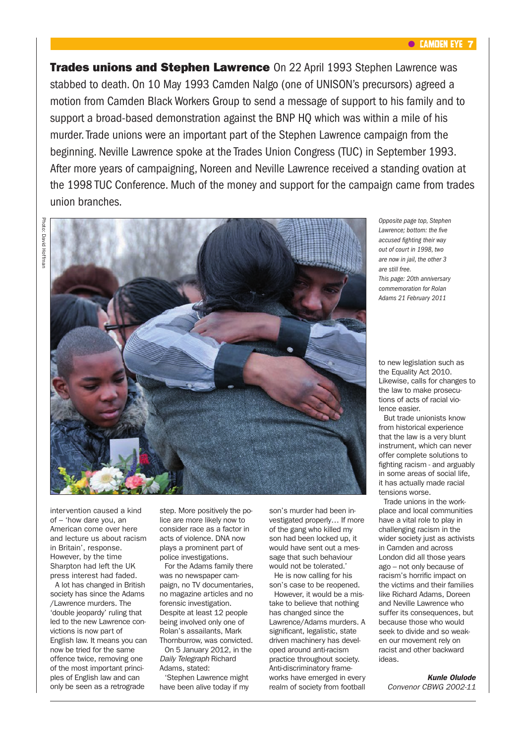#### **C** CAMDEN EYE 7

**Trades unions and Stephen Lawrence** On 22 April 1993 Stephen Lawrence was stabbed to death. On 10 May 1993 Camden Nalgo (one of UNISON's precursors) agreed a motion from Camden Black Workers Group to send a message of support to his family and to support a broad-based demonstration against the BNP HQ which was within a mile of his murder. Trade unions were an important part of the Stephen Lawrence campaign from the beginning. Neville Lawrence spoke at the Trades Union Congress (TUC) in September 1993. After more years of campaigning, Noreen and Neville Lawrence received a standing ovation at the 1998 TUC Conference. Much of the money and support for the campaign came from trades union branches.

Photo: David Hoffma Photo: David Hoffman



*Opposite page top, Stephen Lawrence; bottom: the five accused fighting their way out of court in 1998, two are now in jail, the other 3 are still free. This page: 20th anniversary commemoration for Rolan Adams 21 February 2011*

to new legislation such as the Equality Act 2010. Likewise, calls for changes to the law to make prosecutions of acts of racial violence easier.

But trade unionists know from historical experience that the law is a very blunt instrument, which can never offer complete solutions to fighting racism - and arguably in some areas of social life, it has actually made racial tensions worse.

Trade unions in the workplace and local communities have a vital role to play in challenging racism in the wider society just as activists in Camden and across London did all those years ago – not only because of racism's horrific impact on the victims and their families like Richard Adams, Doreen and Neville Lawrence who suffer its consequences, but because those who would seek to divide and so weaken our movement rely on racist and other backward ideas.

*Kunle Olulode Convenor CBWG 2002-11*

intervention caused a kind of – 'how dare you, an American come over here and lecture us about racism in Britain', response. However, by the time Sharpton had left the UK press interest had faded.

A lot has changed in British society has since the Adams /Lawrence murders. The 'double jeopardy' ruling that led to the new Lawrence convictions is now part of English law. It means you can now be tried for the same offence twice, removing one of the most important principles of English law and can only be seen as a retrograde

step. More positively the police are more likely now to consider race as a factor in acts of violence. DNA now plays a prominent part of police investigations.

For the Adams family there was no newspaper campaign, no TV documentaries, no magazine articles and no forensic investigation. Despite at least 12 people being involved only one of Rolan's assailants, Mark Thornburrow, was convicted. On 5 January 2012, in the *Daily Telegraph* Richard Adams, stated:

'Stephen Lawrence might have been alive today if my

son's murder had been investigated properly… If more of the gang who killed my son had been locked up, it would have sent out a message that such behaviour would not be tolerated.'

He is now calling for his son's case to be reopened.

However, it would be a mistake to believe that nothing has changed since the Lawrence/Adams murders. A significant, legalistic, state driven machinery has developed around anti-racism practice throughout society. Anti-discriminatory frameworks have emerged in every realm of society from football